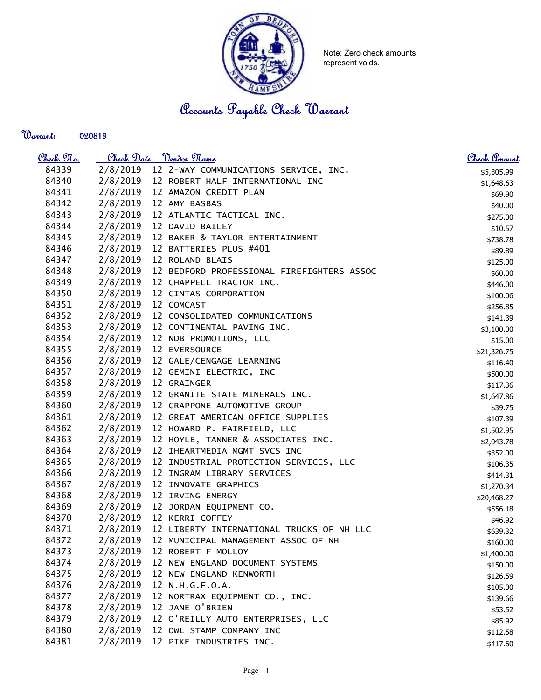

Note: Zero check amounts represent voids.

Accounts Payable Check Warrant

| Warrant: | 020819 |
|----------|--------|
|----------|--------|

| <u>Check 97a.</u> | Check Date | <u>"Vendor Name</u>                        | Check Amount |
|-------------------|------------|--------------------------------------------|--------------|
| 84339             | 2/8/2019   | 12 2-WAY COMMUNICATIONS SERVICE, INC.      | \$5,305.99   |
| 84340             | 2/8/2019   | 12 ROBERT HALF INTERNATIONAL INC           | \$1,648.63   |
| 84341             | 2/8/2019   | 12 AMAZON CREDIT PLAN                      | \$69.90      |
| 84342             | 2/8/2019   | 12 AMY BASBAS                              | \$40.00      |
| 84343             | 2/8/2019   | 12 ATLANTIC TACTICAL INC.                  | \$275.00     |
| 84344             | 2/8/2019   | 12 DAVID BAILEY                            | \$10.57      |
| 84345             | 2/8/2019   | 12 BAKER & TAYLOR ENTERTAINMENT            | \$738.78     |
| 84346             | 2/8/2019   | 12 BATTERIES PLUS #401                     | \$89.89      |
| 84347             | 2/8/2019   | 12 ROLAND BLAIS                            | \$125.00     |
| 84348             | 2/8/2019   | 12 BEDFORD PROFESSIONAL FIREFIGHTERS ASSOC | \$60.00      |
| 84349             | 2/8/2019   | 12 CHAPPELL TRACTOR INC.                   | \$446.00     |
| 84350             | 2/8/2019   | 12 CINTAS CORPORATION                      | \$100.06     |
| 84351             | 2/8/2019   | 12 COMCAST                                 | \$256.85     |
| 84352             | 2/8/2019   | 12 CONSOLIDATED COMMUNICATIONS             | \$141.39     |
| 84353             | 2/8/2019   | 12 CONTINENTAL PAVING INC.                 | \$3,100.00   |
| 84354             | 2/8/2019   | 12 NDB PROMOTIONS, LLC                     | \$15.00      |
| 84355             | 2/8/2019   | 12 EVERSOURCE                              | \$21,326.75  |
| 84356             | 2/8/2019   | 12 GALE/CENGAGE LEARNING                   | \$116.40     |
| 84357             | 2/8/2019   | 12 GEMINI ELECTRIC, INC                    | \$500.00     |
| 84358             | 2/8/2019   | 12 GRAINGER                                | \$117.36     |
| 84359             | 2/8/2019   | 12 GRANITE STATE MINERALS INC.             | \$1,647.86   |
| 84360             | 2/8/2019   | 12 GRAPPONE AUTOMOTIVE GROUP               | \$39.75      |
| 84361             | 2/8/2019   | 12 GREAT AMERICAN OFFICE SUPPLIES          | \$107.39     |
| 84362             | 2/8/2019   | 12 HOWARD P. FAIRFIELD, LLC                | \$1,502.95   |
| 84363             | 2/8/2019   | 12 HOYLE, TANNER & ASSOCIATES INC.         | \$2,043.78   |
| 84364             | 2/8/2019   | 12 IHEARTMEDIA MGMT SVCS INC               | \$352.00     |
| 84365             | 2/8/2019   | 12 INDUSTRIAL PROTECTION SERVICES, LLC     | \$106.35     |
| 84366             | 2/8/2019   | 12 INGRAM LIBRARY SERVICES                 | \$414.31     |
| 84367             | 2/8/2019   | 12 INNOVATE GRAPHICS                       | \$1,270.34   |
| 84368             | 2/8/2019   | 12 IRVING ENERGY                           | \$20,468.27  |
| 84369             | 2/8/2019   | 12 JORDAN EQUIPMENT CO.                    | \$556.18     |
| 84370             | 2/8/2019   | 12 KERRI COFFEY                            | \$46.92      |
| 84371             | 2/8/2019   | 12 LIBERTY INTERNATIONAL TRUCKS OF NH LLC  | \$639.32     |
| 84372             | 2/8/2019   | 12 MUNICIPAL MANAGEMENT ASSOC OF NH        | \$160.00     |
| 84373             | 2/8/2019   | 12 ROBERT F MOLLOY                         | \$1,400.00   |
| 84374             | 2/8/2019   | 12 NEW ENGLAND DOCUMENT SYSTEMS            | \$150.00     |
| 84375             | 2/8/2019   | 12 NEW ENGLAND KENWORTH                    | \$126.59     |
| 84376             | 2/8/2019   | 12 N.H.G.F.O.A.                            | \$105.00     |
| 84377             | 2/8/2019   | 12 NORTRAX EQUIPMENT CO., INC.             | \$139.66     |
| 84378             | 2/8/2019   | 12 JANE O'BRIEN                            | \$53.52      |
| 84379             | 2/8/2019   | 12 O'REILLY AUTO ENTERPRISES, LLC          | \$85.92      |
| 84380             | 2/8/2019   | 12 OWL STAMP COMPANY INC                   | \$112.58     |
| 84381             | 2/8/2019   | 12 PIKE INDUSTRIES INC.                    | \$417.60     |
|                   |            |                                            |              |